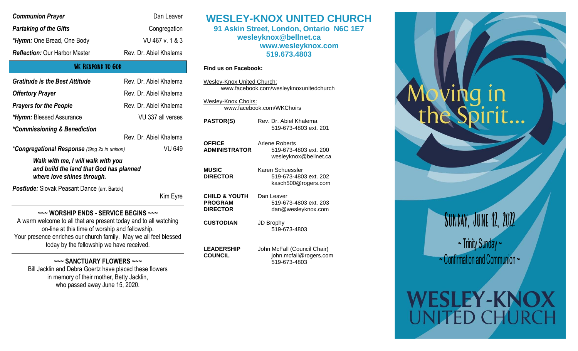| <b>Communion Prayer</b>              | Dan Leaver             |
|--------------------------------------|------------------------|
| <b>Partaking of the Gifts</b>        | Congregation           |
| *Hymn: One Bread, One Body           | VU 467 v. 1 & 3        |
| <b>Reflection: Our Harbor Master</b> | Rev. Dr. Abiel Khalema |

#### WE RESPOND TO GOD

| <b>Gratitude is the Best Attitude</b>                                                                                                                                                                                              | Rev. Dr. Abiel Khalema |  |
|------------------------------------------------------------------------------------------------------------------------------------------------------------------------------------------------------------------------------------|------------------------|--|
| <b>Offertory Prayer</b>                                                                                                                                                                                                            | Rev. Dr. Abiel Khalema |  |
| <b>Prayers for the People</b>                                                                                                                                                                                                      | Rev. Dr. Abiel Khalema |  |
| *Hymn: Blessed Assurance                                                                                                                                                                                                           | VU 337 all verses      |  |
| *Commissioning & Benediction                                                                                                                                                                                                       | Rev. Dr. Abiel Khalema |  |
| <i>*Congregational Response (Sing 2x in unison)</i>                                                                                                                                                                                | VU 649                 |  |
| Walk with me, I will walk with you<br>and build the land that God has planned<br>where love shines through.                                                                                                                        |                        |  |
| <b>Postlude:</b> Slovak Peasant Dance (arr. Bartok)                                                                                                                                                                                |                        |  |
|                                                                                                                                                                                                                                    | Kim Eyre               |  |
| ~~~ WORSHIP ENDS - SERVICE BEGINS ~~~<br>A warm welcome to all that are present today and to all watching<br>on-line at this time of worship and fellowship.<br>الموجوع المالممة المستحدث بملالا البرائدومة واموريطه وزرم اممرامات |                        |  |

Your presence enriches our church family. May we all feel blessed today by the fellowship we have received.

#### **~~~ SANCTUARY FLOWERS ~~~**

Bill Jacklin and Debra Goertz have placed these flowers in memory of their mother, Betty Jacklin, who passed away June 15, 2020.

### **WESLEY-KNOX UNITED CHURCH**

**91 Askin Street, London, Ontario N6C 1E7 wesleyknox@bellnet.ca www.wesleyknox.com 519.673.4803**

#### **Find us on Facebook:**

| Wesley-Knox United Church:<br>www.facebook.com/wesleyknoxunitedchurch |                                                                       |  |  |  |
|-----------------------------------------------------------------------|-----------------------------------------------------------------------|--|--|--|
| Wesley-Knox Choirs:<br>www.facebook.com/WKChoirs                      |                                                                       |  |  |  |
| <b>PASTOR(S)</b>                                                      | Rev. Dr. Abiel Khalema<br>519-673-4803 ext. 201                       |  |  |  |
| <b>OFFICE</b><br><b>ADMINISTRATOR</b>                                 | Arlene Roberts<br>519-673-4803 ext. 200<br>wesleyknox@bellnet.ca      |  |  |  |
| <b>MUSIC</b><br><b>DIRECTOR</b>                                       | Karen Schuessler<br>519-673-4803 ext. 202<br>kasch500@rogers.com      |  |  |  |
| <b>CHILD &amp; YOUTH</b><br><b>PROGRAM</b><br><b>DIRECTOR</b>         | Dan Leaver<br>519-673-4803 ext. 203<br>dan@wesleyknox.com             |  |  |  |
| <b>CUSTODIAN</b>                                                      | JD Brophy<br>519-673-4803                                             |  |  |  |
| <b>LEADERSHIP</b><br><b>COUNCIL</b>                                   | John McFall (Council Chair)<br>john.mcfall@rogers.com<br>519-673-4803 |  |  |  |

# Sunday, June 12, 2022

~ Trinity Sunday ~

 $\sim$  Confirmation and Communion  $\sim$